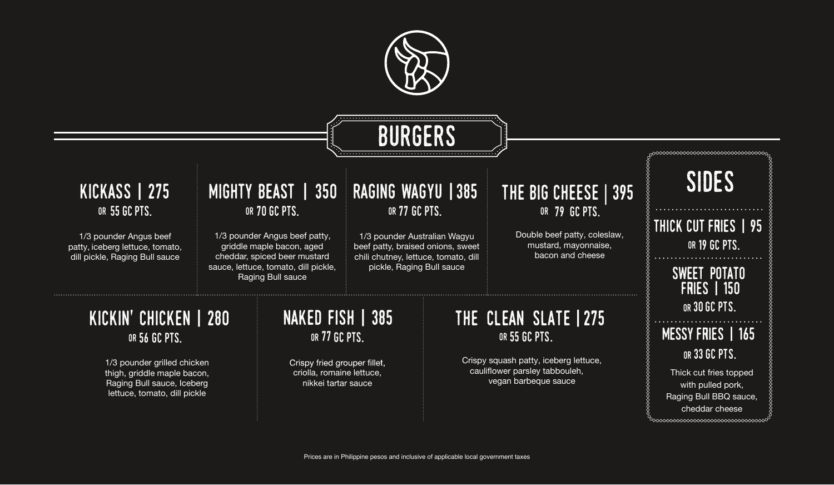Prices are in Philippine pesos and inclusive of applicable local government taxes



#### kickin' chicken | 280 or 56 GC pts.

1/3 pounder grilled chicken thigh, griddle maple bacon, Raging Bull sauce, Iceberg lettuce, tomato, dill pickle

1/3 pounder Australian Wagyu beef patty, braised onions, sweet chili chutney, lettuce, tomato, dill pickle, Raging Bull sauce

#### or 77 GC pts. raging wagyu |385

### 55 GC PTS. THE GREAT OR 70 GC PTS. mighty beast | 350

1/3 pounder Angus beef patty, griddle maple bacon, aged cheddar, spiced beer mustard sauce, lettuce, tomato, dill pickle, **Raging Bull sauce** 

> Crispy fried grouper fillet, criolla, romaine lettuce, nikkei tartar sauce



# **BURGERS**

### OR 77 GC PTS. naked fish | 385

#### or 55GC pts. the clean slate | 275

Crispy squash patty, iceberg lettuce, cauliflower parsley tabbouleh, vegan barbeque sauce

1/3 pounder Angus beef patty, iceberg lettuce, tomato, dill pickle, Raging Bull sauce

#### or GC pts. kickass | 275

#### the big cheese | 395 or 79 GC pts.

Double beef patty, coleslaw, mustard, mayonnaise, bacon and cheese